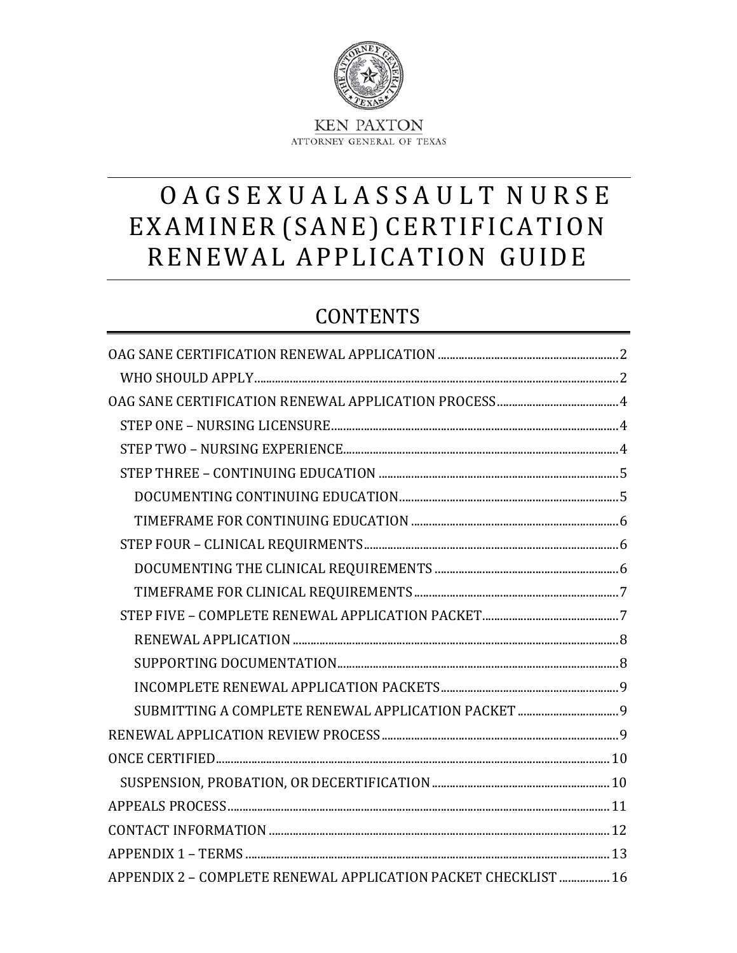

# OAGSEXUALASSAULT NURSE EXAMINER (SANE) CERTIFICATION RENEWAL APPLICATION GUIDE

## **CONTENTS**

| SUBMITTING A COMPLETE RENEWAL APPLICATION PACKET  9           |  |
|---------------------------------------------------------------|--|
|                                                               |  |
|                                                               |  |
|                                                               |  |
|                                                               |  |
|                                                               |  |
|                                                               |  |
| APPENDIX 2 - COMPLETE RENEWAL APPLICATION PACKET CHECKLIST 16 |  |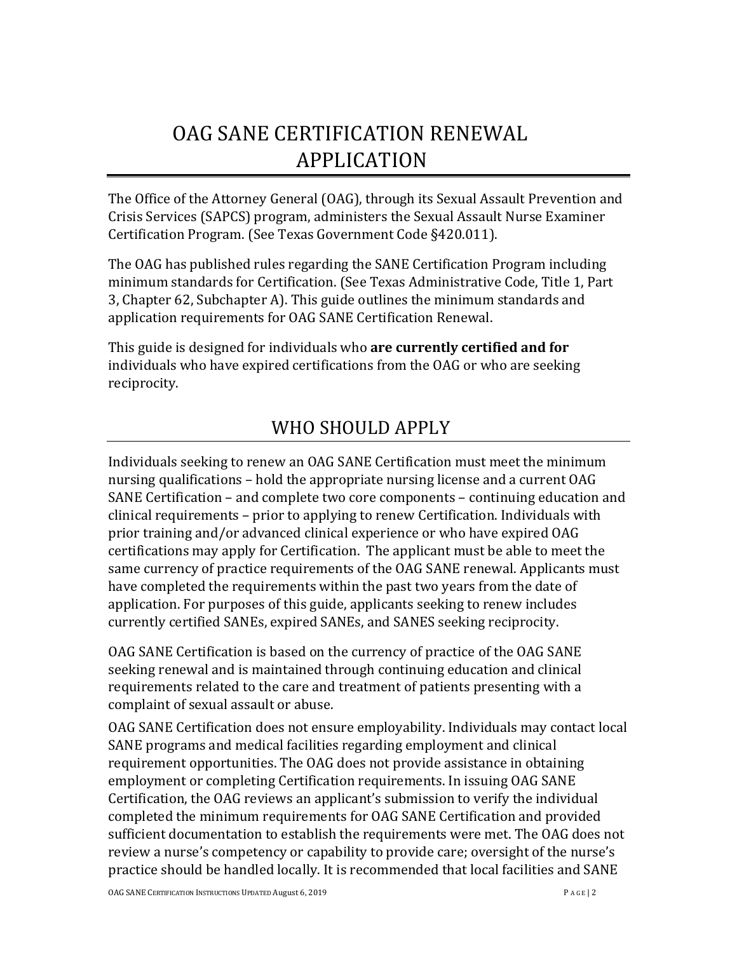# <span id="page-1-0"></span>OAG SANE CERTIFICATION RENEWAL APPLICATION

The Office of the Attorney General (OAG), through its Sexual Assault Prevention and Crisis Services (SAPCS) program, administers the Sexual Assault Nurse Examiner Certification Program. (See Texas Government Code §420.011).

The OAG has published rules regarding the SANE Certification Program including minimum standards for Certification. (See Texas Administrative Code, Title 1, Part 3, Chapter 62, Subchapter A). This guide outlines the minimum standards and application requirements for OAG SANE Certification Renewal.

This guide is designed for individuals who **are currently certified and for**  individuals who have expired certifications from the OAG or who are seeking reciprocity.

## <span id="page-1-1"></span>WHO SHOULD APPLY

Individuals seeking to renew an OAG SANE Certification must meet the minimum nursing qualifications – hold the appropriate nursing license and a current OAG SANE Certification – and complete two core components – continuing education and clinical requirements – prior to applying to renew Certification. Individuals with prior training and/or advanced clinical experience or who have expired OAG certifications may apply for Certification. The applicant must be able to meet the same currency of practice requirements of the OAG SANE renewal. Applicants must have completed the requirements within the past two years from the date of application. For purposes of this guide, applicants seeking to renew includes currently certified SANEs, expired SANEs, and SANES seeking reciprocity.

OAG SANE Certification is based on the currency of practice of the OAG SANE seeking renewal and is maintained through continuing education and clinical requirements related to the care and treatment of patients presenting with a complaint of sexual assault or abuse.

OAG SANE Certification does not ensure employability. Individuals may contact local SANE programs and medical facilities regarding employment and clinical requirement opportunities. The OAG does not provide assistance in obtaining employment or completing Certification requirements. In issuing OAG SANE Certification, the OAG reviews an applicant's submission to verify the individual completed the minimum requirements for OAG SANE Certification and provided sufficient documentation to establish the requirements were met. The OAG does not review a nurse's competency or capability to provide care; oversight of the nurse's practice should be handled locally. It is recommended that local facilities and SANE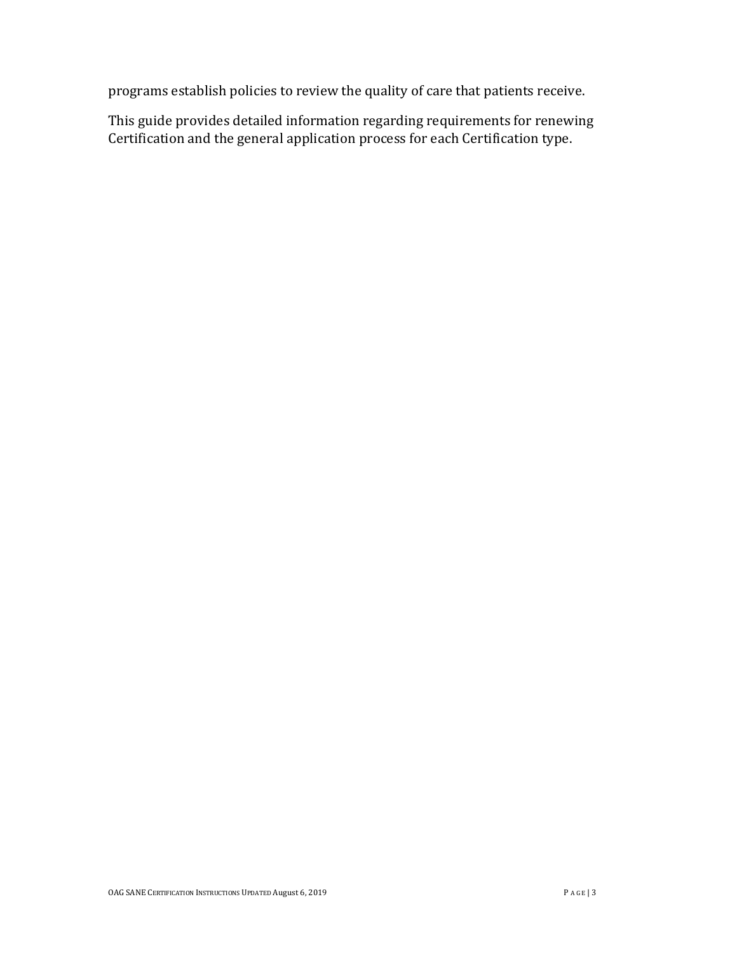programs establish policies to review the quality of care that patients receive.

This guide provides detailed information regarding requirements for renewing Certification and the general application process for each Certification type.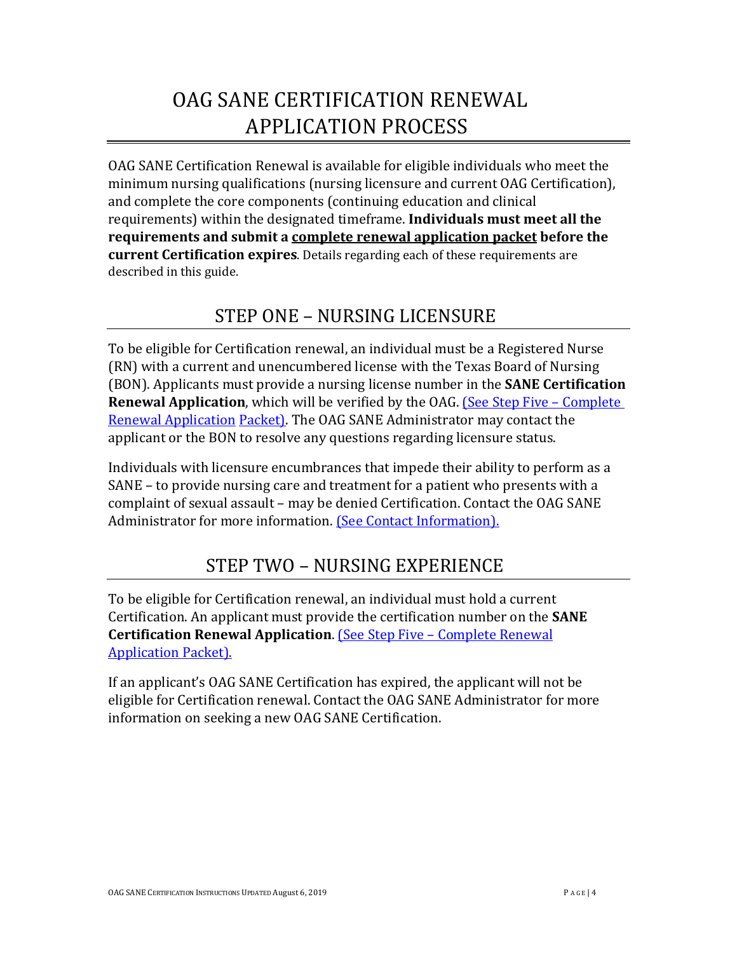# <span id="page-3-0"></span>OAG SANE CERTIFICATION RENEWAL APPLICATION PROCESS

OAG SANE Certification Renewal is available for eligible individuals who meet the minimum nursing qualifications (nursing licensure and current OAG Certification), and complete the core components (continuing education and clinical requirements) within the designated timeframe. **Individuals must meet all the requirements and submit a complete renewal application packet before the current Certification expires**. Details regarding each of these requirements are described in this guide.

### <span id="page-3-1"></span>STEP ONE – NURSING LICENSURE

To be eligible for Certification renewal, an individual must be a Registered Nurse (RN) with a current and unencumbered license with the Texas Board of Nursing (BON). Applicants must provide a nursing license number in the **SANE Certification Renewal Application**, which will be verified by the OAG. (See Step Five – Complete) [Renewal Application](#page-6-1) [Packet\).](#page-6-1) The OAG SANE Administrator may contact the applicant or the BON to resolve any questions regarding licensure status.

Individuals with licensure encumbrances that impede their ability to perform as a SANE – to provide nursing care and treatment for a patient who presents with a complaint of sexual assault – may be denied Certification. Contact the OAG SANE Administrator for more information. [\(See Contact Information\).](#page-11-0)

## <span id="page-3-2"></span>STEP TWO – NURSING EXPERIENCE

To be eligible for Certification renewal, an individual must hold a current Certification. An applicant must provide the certification number on the **SANE Certification Renewal Application**. [\(See Step Five – Complete Renewal](#page-6-1) [Application Packet\).](#page-6-1)

If an applicant's OAG SANE Certification has expired, the applicant will not be eligible for Certification renewal. Contact the OAG SANE Administrator for more information on seeking a new OAG SANE Certification.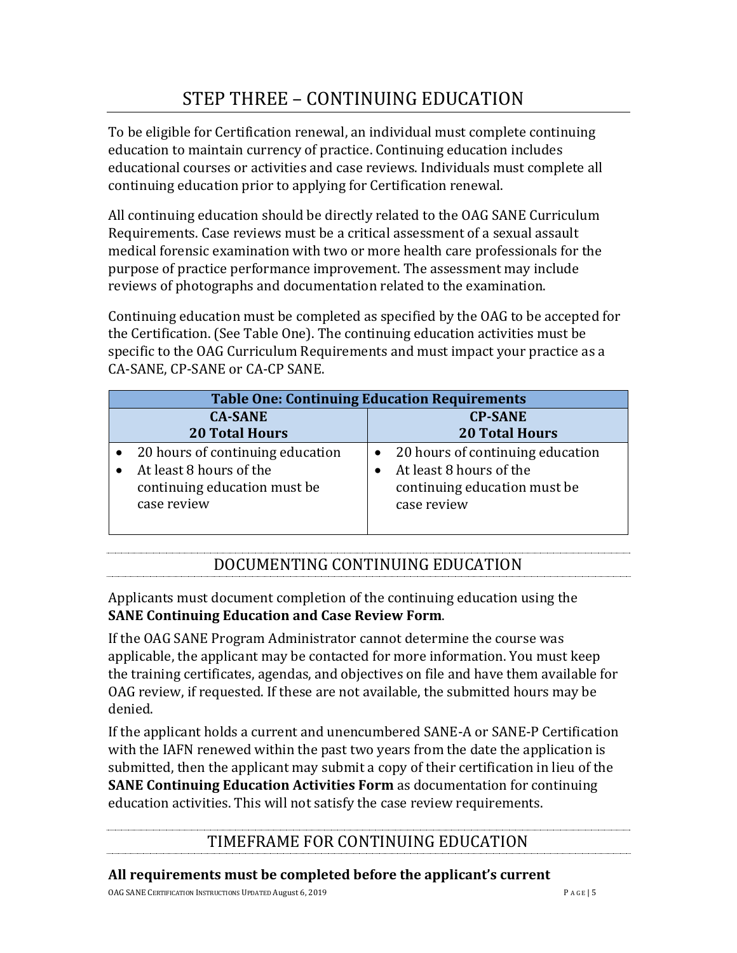## <span id="page-4-0"></span>STEP THREE – CONTINUING EDUCATION

To be eligible for Certification renewal, an individual must complete continuing education to maintain currency of practice. Continuing education includes educational courses or activities and case reviews. Individuals must complete all continuing education prior to applying for Certification renewal.

All continuing education should be directly related to the OAG SANE Curriculum Requirements. Case reviews must be a critical assessment of a sexual assault medical forensic examination with two or more health care professionals for the purpose of practice performance improvement. The assessment may include reviews of photographs and documentation related to the examination.

Continuing education must be completed as specified by the OAG to be accepted for the Certification. (See Table One). The continuing education activities must be specific to the OAG Curriculum Requirements and must impact your practice as a CA-SANE, CP-SANE or CA-CP SANE.

| <b>Table One: Continuing Education Requirements</b> |                                    |  |
|-----------------------------------------------------|------------------------------------|--|
| <b>CA-SANE</b>                                      | <b>CP-SANE</b>                     |  |
| <b>20 Total Hours</b>                               | <b>20 Total Hours</b>              |  |
| • 20 hours of continuing education                  | • 20 hours of continuing education |  |
| At least 8 hours of the                             | At least 8 hours of the            |  |
| continuing education must be                        | continuing education must be       |  |
| case review                                         | case review                        |  |

### DOCUMENTING CONTINUING EDUCATION

<span id="page-4-1"></span>Applicants must document completion of the continuing education using the **SANE Continuing Education and Case Review Form**.

If the OAG SANE Program Administrator cannot determine the course was applicable, the applicant may be contacted for more information. You must keep the training certificates, agendas, and objectives on file and have them available for OAG review, if requested. If these are not available, the submitted hours may be denied.

If the applicant holds a current and unencumbered SANE-A or SANE-P Certification with the IAFN renewed within the past two years from the date the application is submitted, then the applicant may submit a copy of their certification in lieu of the **SANE Continuing Education Activities Form** as documentation for continuing education activities. This will not satisfy the case review requirements.

### TIMEFRAME FOR CONTINUING EDUCATION

#### <span id="page-4-2"></span>**All requirements must be completed before the applicant's current**

OAG SANE CERTIFICATION INSTRUCTIONS UPDATED August 6, 2019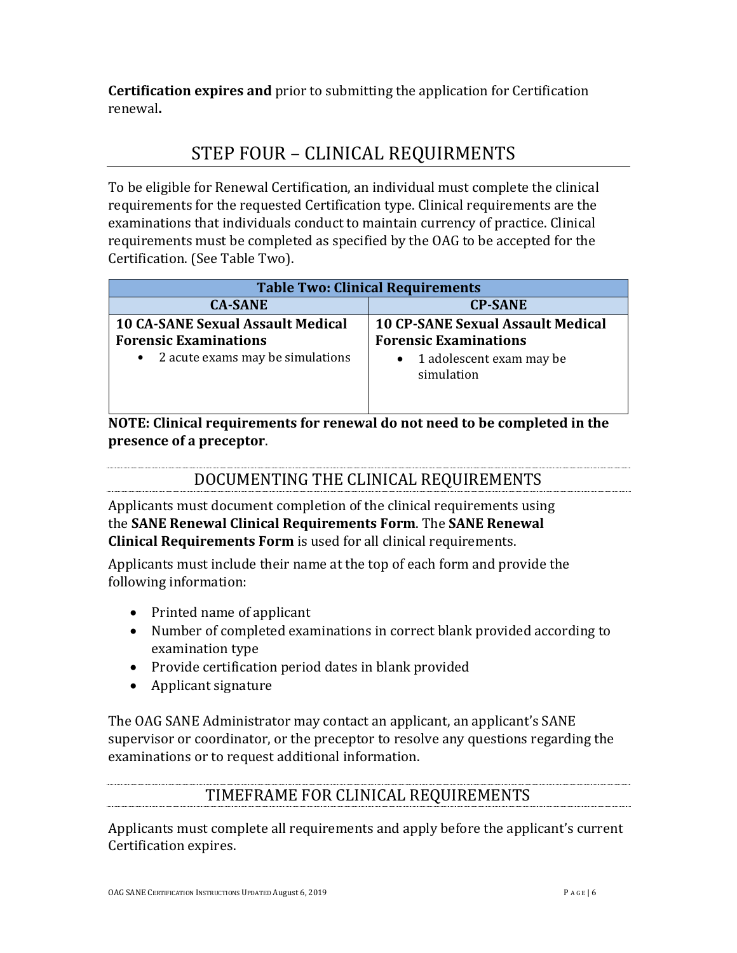**Certification expires and** prior to submitting the application for Certification renewal**.** 

## <span id="page-5-0"></span>STEP FOUR – CLINICAL REQUIRMENTS

To be eligible for Renewal Certification, an individual must complete the clinical requirements for the requested Certification type. Clinical requirements are the examinations that individuals conduct to maintain currency of practice. Clinical requirements must be completed as specified by the OAG to be accepted for the Certification. (See Table Two).

| <b>Table Two: Clinical Requirements</b>                                                                        |                                                                                                                    |  |
|----------------------------------------------------------------------------------------------------------------|--------------------------------------------------------------------------------------------------------------------|--|
| <b>CA-SANE</b>                                                                                                 | <b>CP-SANE</b>                                                                                                     |  |
| <b>10 CA-SANE Sexual Assault Medical</b><br><b>Forensic Examinations</b><br>• 2 acute exams may be simulations | <b>10 CP-SANE Sexual Assault Medical</b><br><b>Forensic Examinations</b><br>1 adolescent exam may be<br>simulation |  |

**NOTE: Clinical requirements for renewal do not need to be completed in the presence of a preceptor**.

### DOCUMENTING THE CLINICAL REQUIREMENTS

<span id="page-5-1"></span>Applicants must document completion of the clinical requirements using the **SANE Renewal Clinical Requirements Form**. The **SANE Renewal Clinical Requirements Form** is used for all clinical requirements.

Applicants must include their name at the top of each form and provide the following information:

- Printed name of applicant
- Number of completed examinations in correct blank provided according to examination type
- Provide certification period dates in blank provided
- Applicant signature

The OAG SANE Administrator may contact an applicant, an applicant's SANE supervisor or coordinator, or the preceptor to resolve any questions regarding the examinations or to request additional information.

### TIMEFRAME FOR CLINICAL REQUIREMENTS

<span id="page-5-2"></span>Applicants must complete all requirements and apply before the applicant's current Certification expires.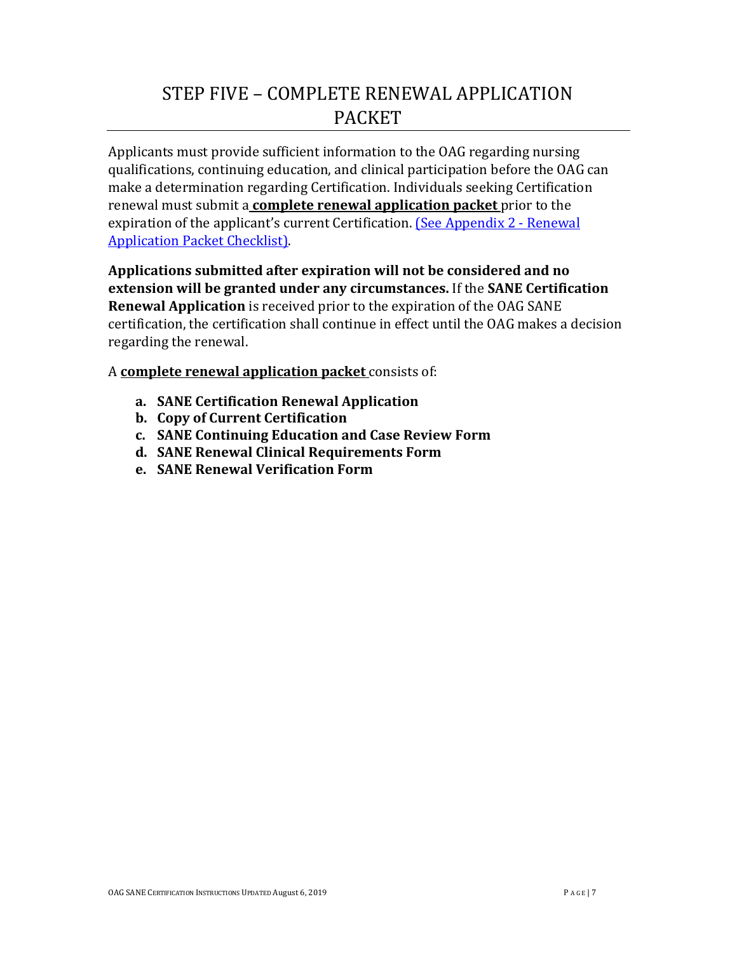## <span id="page-6-1"></span>STEP FIVE – COMPLETE RENEWAL APPLICATION PACKET

<span id="page-6-0"></span>Applicants must provide sufficient information to the OAG regarding nursing qualifications, continuing education, and clinical participation before the OAG can make a determination regarding Certification. Individuals seeking Certification renewal must submit a **complete renewal application packet** prior to the expiration of the applicant's current Certification. [\(See Appendix 2 - Renewal](#page-12-0) [Application Packet Checklist\).](#page-12-0)

**Applications submitted after expiration will not be considered and no extension will be granted under any circumstances.** If the **SANE Certification Renewal Application** is received prior to the expiration of the OAG SANE certification, the certification shall continue in effect until the OAG makes a decision regarding the renewal.

A **complete renewal application packet** consists of:

- **a. SANE Certification Renewal Application**
- **b. Copy of Current Certification**
- **c. SANE Continuing Education and Case Review Form**
- **d. SANE Renewal Clinical Requirements Form**
- **e. SANE Renewal Verification Form**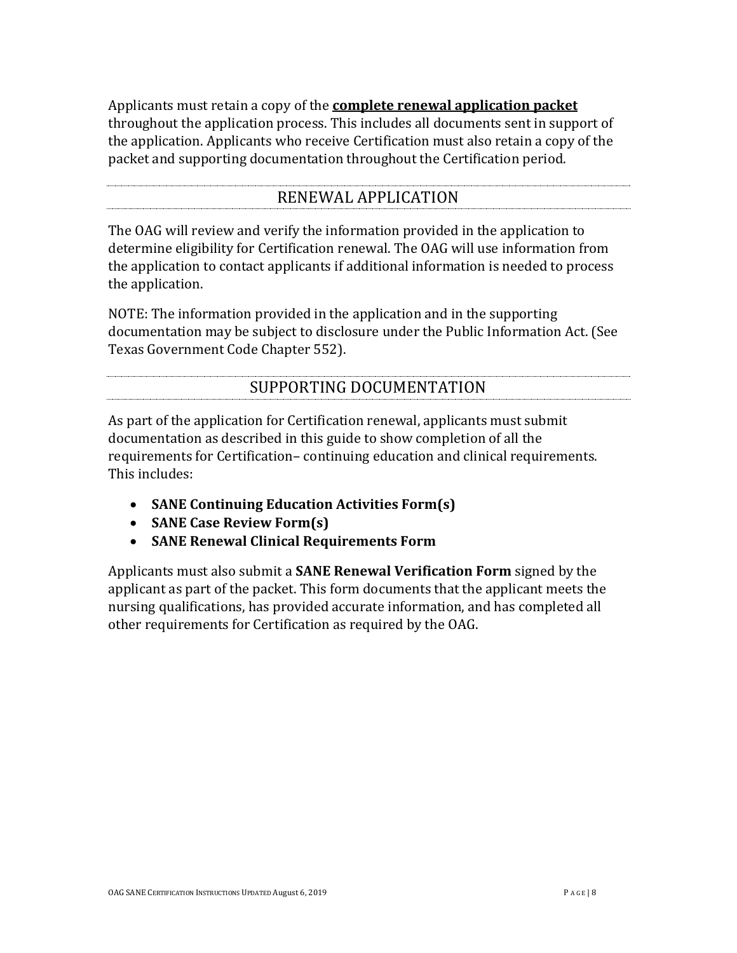Applicants must retain a copy of the **complete renewal application packet**  throughout the application process. This includes all documents sent in support of the application. Applicants who receive Certification must also retain a copy of the packet and supporting documentation throughout the Certification period.

### RENEWAL APPLICATION

<span id="page-7-0"></span>The OAG will review and verify the information provided in the application to determine eligibility for Certification renewal. The OAG will use information from the application to contact applicants if additional information is needed to process the application.

NOTE: The information provided in the application and in the supporting documentation may be subject to disclosure under the Public Information Act. (See Texas Government Code Chapter 552).

### SUPPORTING DOCUMENTATION

<span id="page-7-1"></span>As part of the application for Certification renewal, applicants must submit documentation as described in this guide to show completion of all the requirements for Certification– continuing education and clinical requirements. This includes:

- **SANE Continuing Education Activities Form(s)**
- **SANE Case Review Form(s)**
- **SANE Renewal Clinical Requirements Form**

Applicants must also submit a **SANE Renewal Verification Form** signed by the applicant as part of the packet. This form documents that the applicant meets the nursing qualifications, has provided accurate information, and has completed all other requirements for Certification as required by the OAG.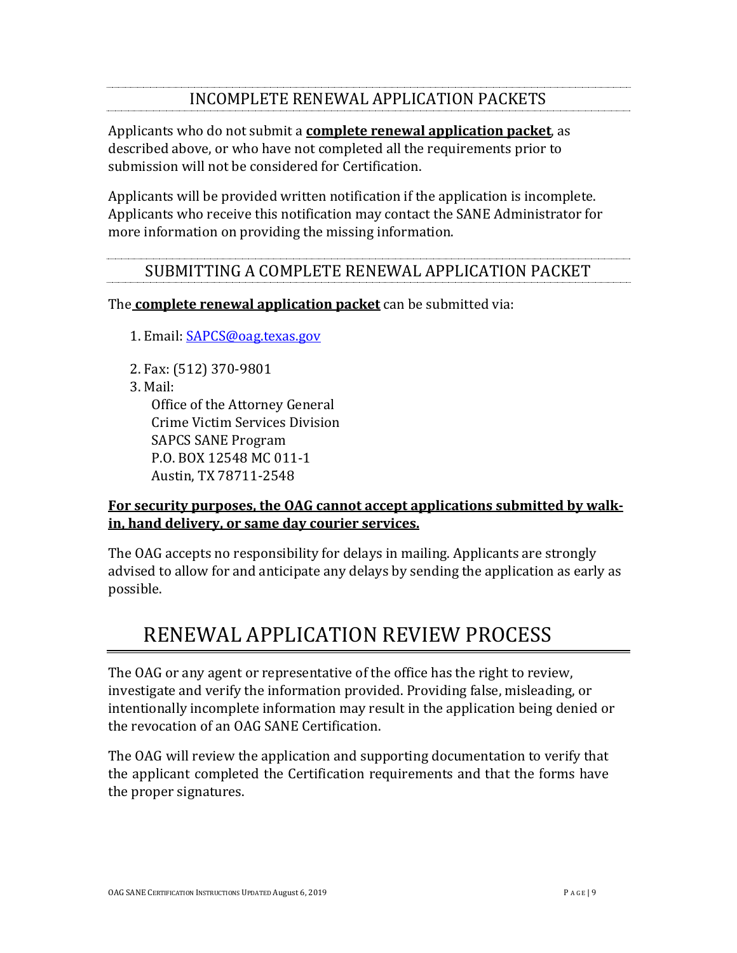### <span id="page-8-0"></span>INCOMPLETE RENEWAL APPLICATION PACKETS

Applicants who do not submit a **complete renewal application packet**, as described above, or who have not completed all the requirements prior to submission will not be considered for Certification.

Applicants will be provided written notification if the application is incomplete. Applicants who receive this notification may contact the SANE Administrator for more information on providing the missing information.

### SUBMITTING A COMPLETE RENEWAL APPLICATION PACKET

<span id="page-8-1"></span>The **complete renewal application packet** can be submitted via:

1. Email: [SAPCS@oag.texas.gov](mailto:sapcs@texasattorneygeneral.gov)

- 2. Fax: (512) 370-9801
- 3. Mail:

Office of the Attorney General Crime Victim Services Division SAPCS SANE Program P.O. BOX 12548 MC 011-1 Austin, TX 78711-2548

#### **For security purposes, the OAG cannot accept applications submitted by walkin, hand delivery, or same day courier services.**

The OAG accepts no responsibility for delays in mailing. Applicants are strongly advised to allow for and anticipate any delays by sending the application as early as possible.

# <span id="page-8-2"></span>RENEWAL APPLICATION REVIEW PROCESS

The OAG or any agent or representative of the office has the right to review, investigate and verify the information provided. Providing false, misleading, or intentionally incomplete information may result in the application being denied or the revocation of an OAG SANE Certification.

The OAG will review the application and supporting documentation to verify that the applicant completed the Certification requirements and that the forms have the proper signatures.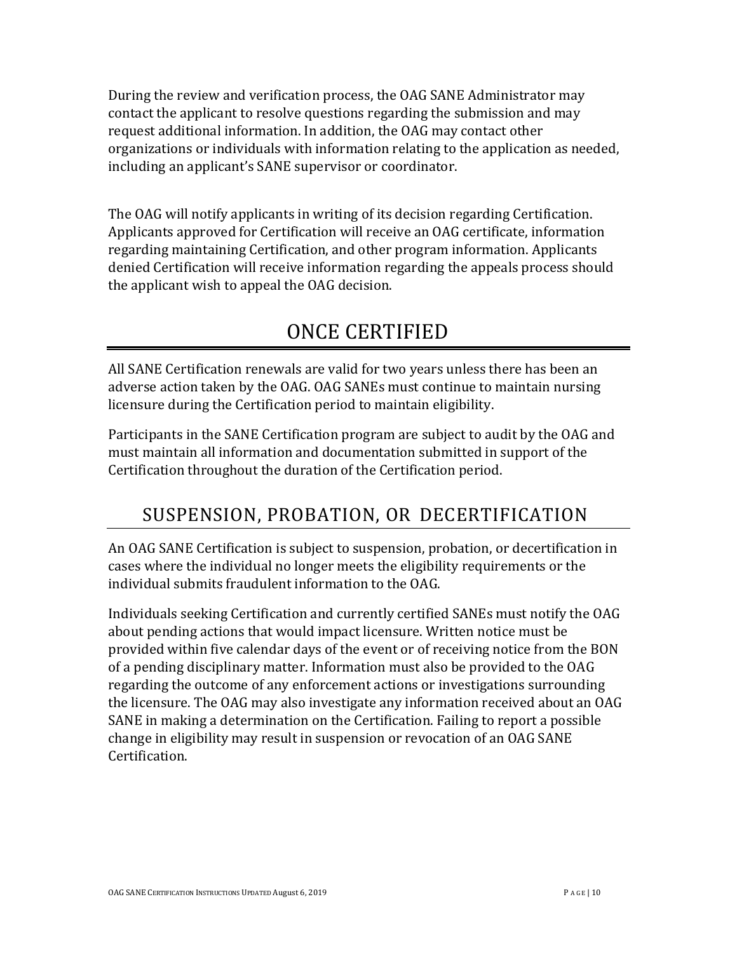During the review and verification process, the OAG SANE Administrator may contact the applicant to resolve questions regarding the submission and may request additional information. In addition, the OAG may contact other organizations or individuals with information relating to the application as needed, including an applicant's SANE supervisor or coordinator.

The OAG will notify applicants in writing of its decision regarding Certification. Applicants approved for Certification will receive an OAG certificate, information regarding maintaining Certification, and other program information. Applicants denied Certification will receive information regarding the appeals process should the applicant wish to appeal the OAG decision.

# <span id="page-9-0"></span>ONCE CERTIFIED

All SANE Certification renewals are valid for two years unless there has been an adverse action taken by the OAG. OAG SANEs must continue to maintain nursing licensure during the Certification period to maintain eligibility.

Participants in the SANE Certification program are subject to audit by the OAG and must maintain all information and documentation submitted in support of the Certification throughout the duration of the Certification period.

## <span id="page-9-1"></span>SUSPENSION, PROBATION, OR DECERTIFICATION

An OAG SANE Certification is subject to suspension, probation, or decertification in cases where the individual no longer meets the eligibility requirements or the individual submits fraudulent information to the OAG.

Individuals seeking Certification and currently certified SANEs must notify the OAG about pending actions that would impact licensure. Written notice must be provided within five calendar days of the event or of receiving notice from the BON of a pending disciplinary matter. Information must also be provided to the OAG regarding the outcome of any enforcement actions or investigations surrounding the licensure. The OAG may also investigate any information received about an OAG SANE in making a determination on the Certification. Failing to report a possible change in eligibility may result in suspension or revocation of an OAG SANE Certification.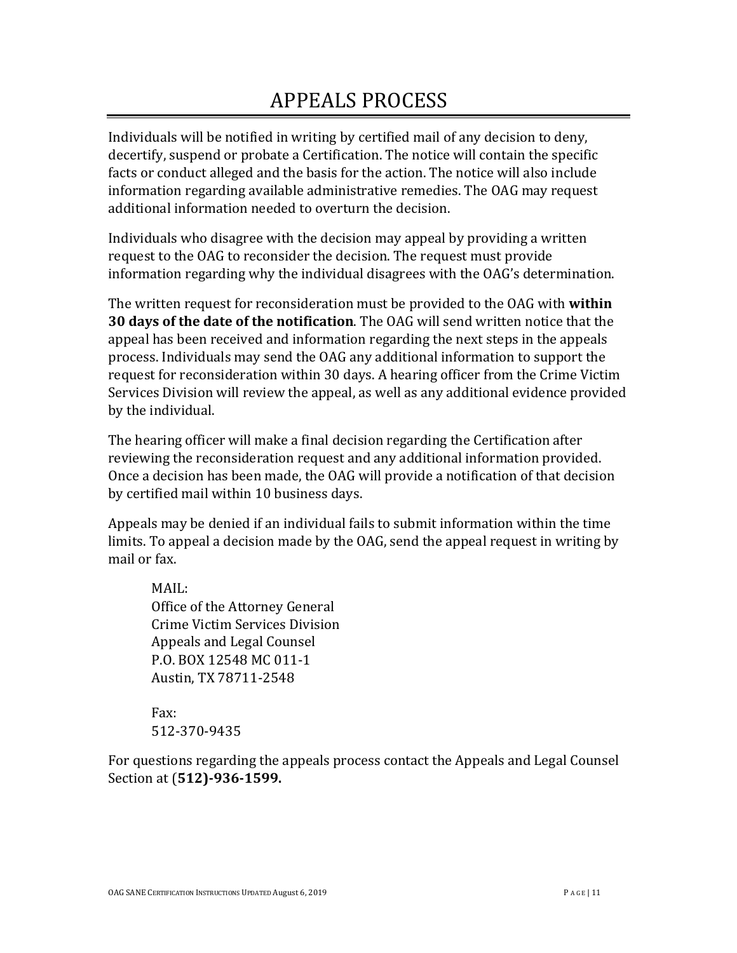# <span id="page-10-0"></span>APPEALS PROCESS

Individuals will be notified in writing by certified mail of any decision to deny, decertify, suspend or probate a Certification. The notice will contain the specific facts or conduct alleged and the basis for the action. The notice will also include information regarding available administrative remedies. The OAG may request additional information needed to overturn the decision.

Individuals who disagree with the decision may appeal by providing a written request to the OAG to reconsider the decision. The request must provide information regarding why the individual disagrees with the OAG's determination.

The written request for reconsideration must be provided to the OAG with **within 30 days of the date of the notification**. The OAG will send written notice that the appeal has been received and information regarding the next steps in the appeals process. Individuals may send the OAG any additional information to support the request for reconsideration within 30 days. A hearing officer from the Crime Victim Services Division will review the appeal, as well as any additional evidence provided by the individual.

The hearing officer will make a final decision regarding the Certification after reviewing the reconsideration request and any additional information provided. Once a decision has been made, the OAG will provide a notification of that decision by certified mail within 10 business days.

Appeals may be denied if an individual fails to submit information within the time limits. To appeal a decision made by the OAG, send the appeal request in writing by mail or fax.

MAIL: Office of the Attorney General Crime Victim Services Division Appeals and Legal Counsel P.O. BOX 12548 MC 011-1 Austin, TX 78711-2548

Fax: [512-370-9435](mailto:sapcs@texasattorneygeneral.gov)

For questions regarding the appeals process contact the Appeals and Legal Counsel Section at (**512)-936-1599.**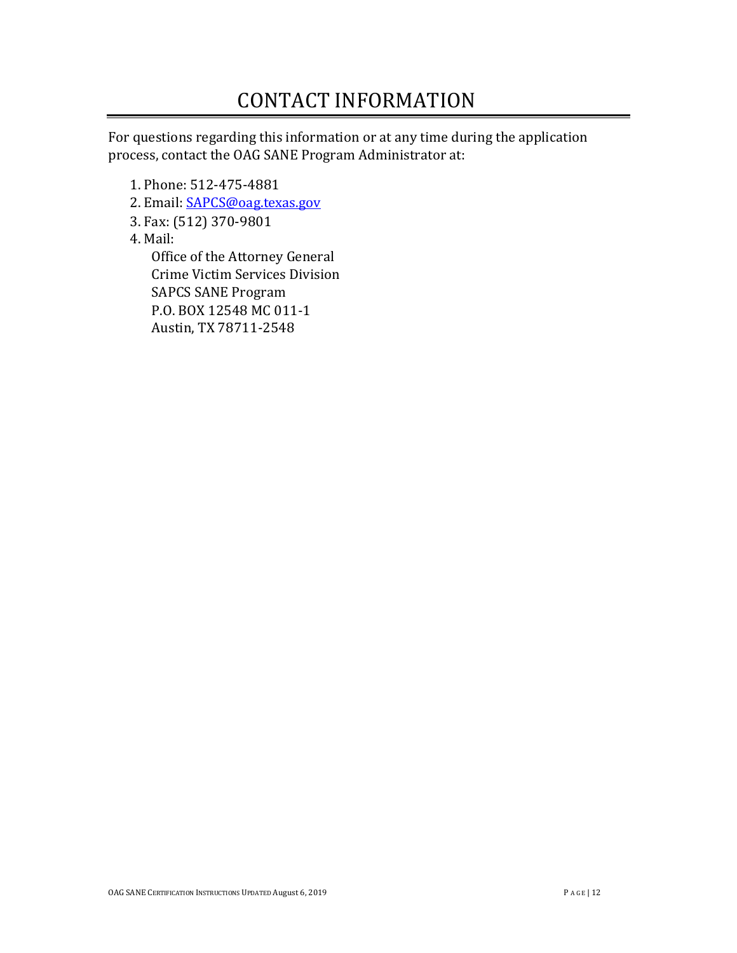# <span id="page-11-0"></span>CONTACT INFORMATION

For questions regarding this information or at any time during the application process, contact the OAG SANE Program Administrator at:

- 1. Phone: 512-475-4881
- 2. Email: **SAPCS@oag.texas.gov**
- 3. Fax: (512) 370-9801
- 4. Mail:

Office of the Attorney General Crime Victim Services Division SAPCS SANE Program P.O. BOX 12548 MC 011-1 Austin, TX 78711-2548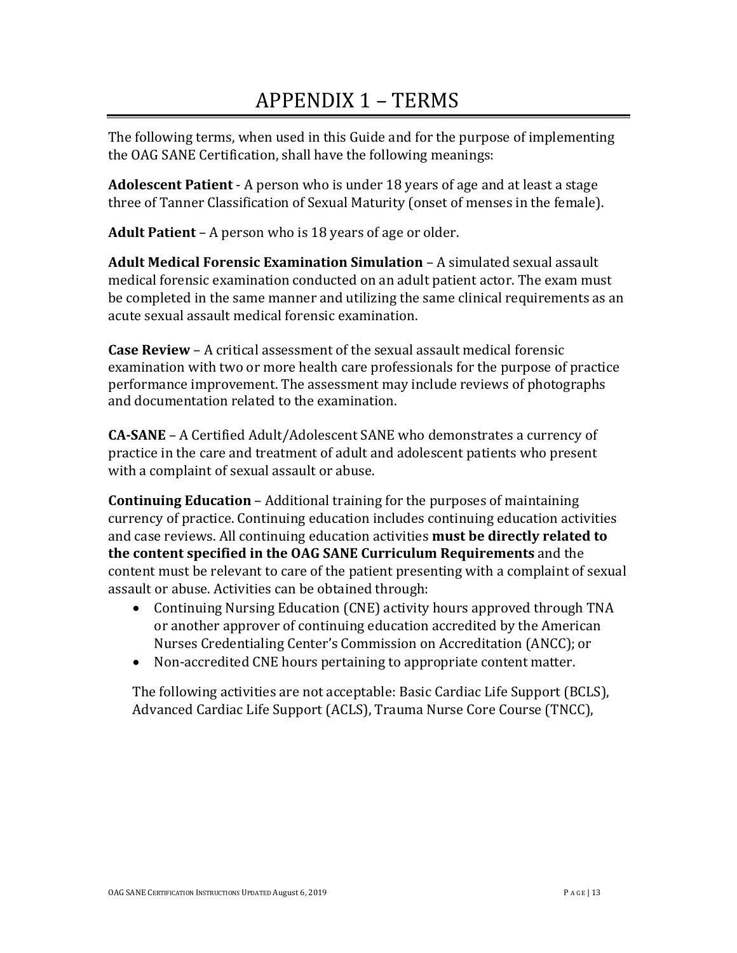# <span id="page-12-0"></span>APPENDIX 1 – TERMS

The following terms, when used in this Guide and for the purpose of implementing the OAG SANE Certification, shall have the following meanings:

**Adolescent Patient** - A person who is under 18 years of age and at least a stage three of Tanner Classification of Sexual Maturity (onset of menses in the female).

**Adult Patient** – A person who is 18 years of age or older.

**Adult Medical Forensic Examination Simulation** – A simulated sexual assault medical forensic examination conducted on an adult patient actor. The exam must be completed in the same manner and utilizing the same clinical requirements as an acute sexual assault medical forensic examination.

**Case Review** – A critical assessment of the sexual assault medical forensic examination with two or more health care professionals for the purpose of practice performance improvement. The assessment may include reviews of photographs and documentation related to the examination.

**CA-SANE** – A Certified Adult/Adolescent SANE who demonstrates a currency of practice in the care and treatment of adult and adolescent patients who present with a complaint of sexual assault or abuse.

**Continuing Education** – Additional training for the purposes of maintaining currency of practice. Continuing education includes continuing education activities and case reviews. All continuing education activities **must be directly related to the content specified in the OAG SANE Curriculum Requirements** and the content must be relevant to care of the patient presenting with a complaint of sexual assault or abuse. Activities can be obtained through:

- Continuing Nursing Education (CNE) activity hours approved through TNA or another approver of continuing education accredited by the American Nurses Credentialing Center's Commission on Accreditation (ANCC); or
- Non-accredited CNE hours pertaining to appropriate content matter.

The following activities are not acceptable: Basic Cardiac Life Support (BCLS), Advanced Cardiac Life Support (ACLS), Trauma Nurse Core Course (TNCC),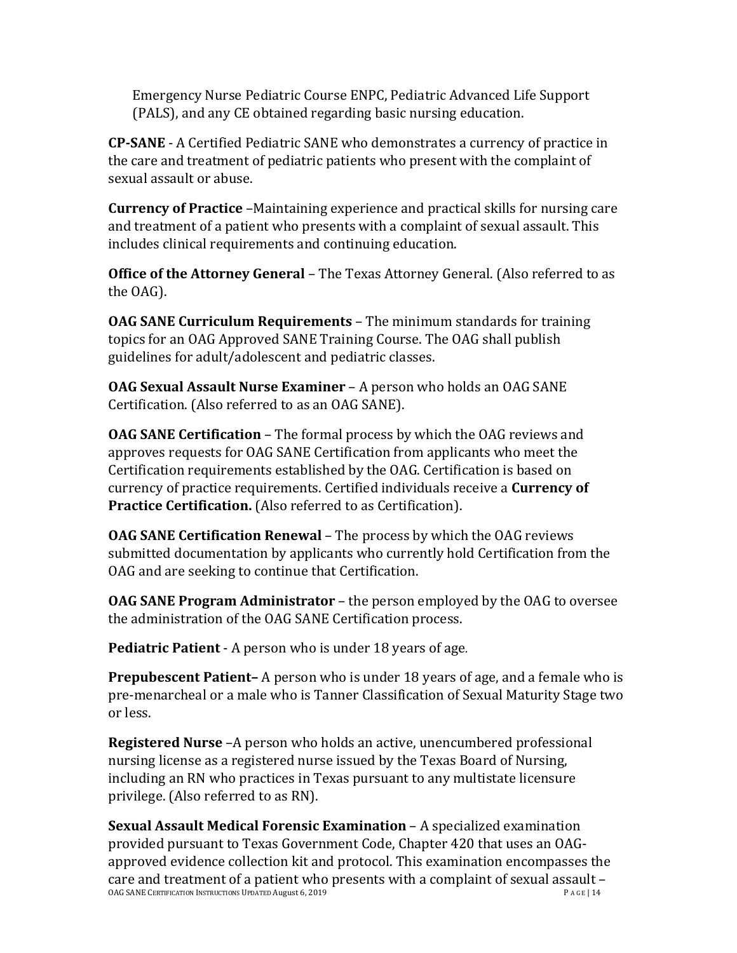Emergency Nurse Pediatric Course ENPC, Pediatric Advanced Life Support (PALS), and any CE obtained regarding basic nursing education.

**CP-SANE** - A Certified Pediatric SANE who demonstrates a currency of practice in the care and treatment of pediatric patients who present with the complaint of sexual assault or abuse.

**Currency of Practice** –Maintaining experience and practical skills for nursing care and treatment of a patient who presents with a complaint of sexual assault. This includes clinical requirements and continuing education.

**Office of the Attorney General** – The Texas Attorney General. (Also referred to as the OAG).

**OAG SANE Curriculum Requirements** – The minimum standards for training topics for an OAG Approved SANE Training Course. The OAG shall publish guidelines for adult/adolescent and pediatric classes.

**OAG Sexual Assault Nurse Examiner** – A person who holds an OAG SANE Certification. (Also referred to as an OAG SANE).

**OAG SANE Certification** – The formal process by which the OAG reviews and approves requests for OAG SANE Certification from applicants who meet the Certification requirements established by the OAG. Certification is based on currency of practice requirements. Certified individuals receive a **Currency of Practice Certification.** (Also referred to as Certification).

**OAG SANE Certification Renewal** – The process by which the OAG reviews submitted documentation by applicants who currently hold Certification from the OAG and are seeking to continue that Certification.

**OAG SANE Program Administrator** – the person employed by the OAG to oversee the administration of the OAG SANE Certification process.

**Pediatric Patient** - A person who is under 18 years of age.

**Prepubescent Patient–** A person who is under 18 years of age, and a female who is pre-menarcheal or a male who is Tanner Classification of Sexual Maturity Stage two or less.

**Registered Nurse** –A person who holds an active, unencumbered professional nursing license as a registered nurse issued by the Texas Board of Nursing, including an RN who practices in Texas pursuant to any multistate licensure privilege. (Also referred to as RN).

OAG SANE CERTIFICATION INSTRUCTIONS UPDATED August 6, 2019 **Sexual Assault Medical Forensic Examination** – A specialized examination provided pursuant to Texas Government Code, Chapter 420 that uses an OAGapproved evidence collection kit and protocol. This examination encompasses the care and treatment of a patient who presents with a complaint of sexual assault –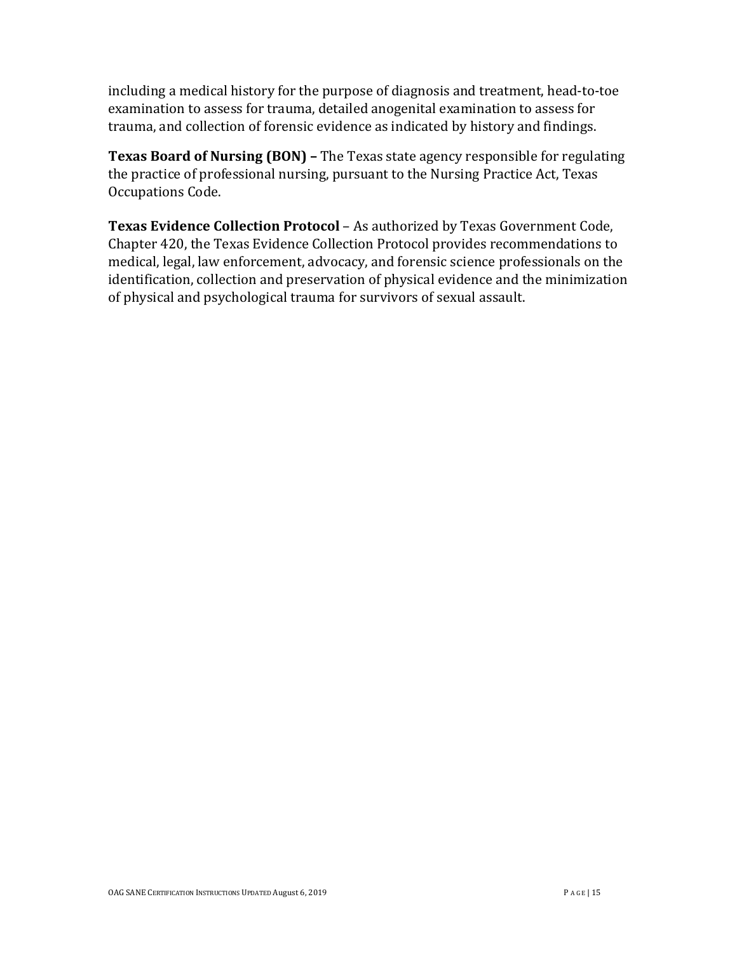including a medical history for the purpose of diagnosis and treatment, head-to-toe examination to assess for trauma, detailed anogenital examination to assess for trauma, and collection of forensic evidence as indicated by history and findings.

**Texas Board of Nursing (BON) –** The Texas state agency responsible for regulating the practice of professional nursing, pursuant to the Nursing Practice Act, Texas Occupations Code.

**Texas Evidence Collection Protocol** – As authorized by Texas Government Code, Chapter 420, the Texas Evidence Collection Protocol provides recommendations to medical, legal, law enforcement, advocacy, and forensic science professionals on the identification, collection and preservation of physical evidence and the minimization of physical and psychological trauma for survivors of sexual assault.